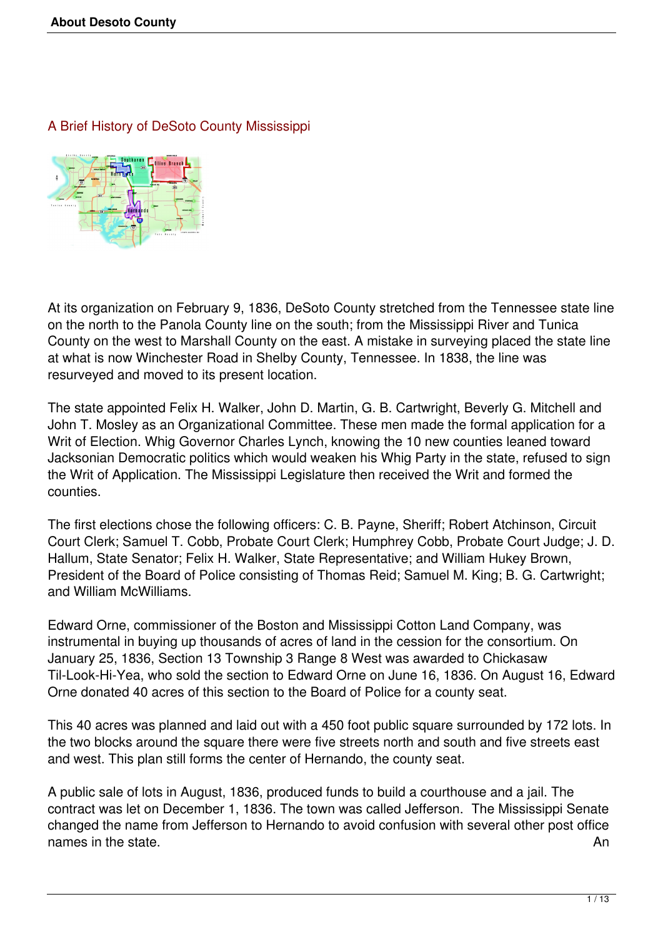A Brief History of DeSoto County Mississippi



At its organization on February 9, 1836, DeSoto County stretched from the Tennessee state line on the north to the Panola County line on the south; from the Mississippi River and Tunica County on the west to Marshall County on the east. A mistake in surveying placed the state line at what is now Winchester Road in Shelby County, Tennessee. In 1838, the line was resurveyed and moved to its present location.

The state appointed Felix H. Walker, John D. Martin, G. B. Cartwright, Beverly G. Mitchell and John T. Mosley as an Organizational Committee. These men made the formal application for a Writ of Election. Whig Governor Charles Lynch, knowing the 10 new counties leaned toward Jacksonian Democratic politics which would weaken his Whig Party in the state, refused to sign the Writ of Application. The Mississippi Legislature then received the Writ and formed the counties.

The first elections chose the following officers: C. B. Payne, Sheriff; Robert Atchinson, Circuit Court Clerk; Samuel T. Cobb, Probate Court Clerk; Humphrey Cobb, Probate Court Judge; J. D. Hallum, State Senator; Felix H. Walker, State Representative; and William Hukey Brown, President of the Board of Police consisting of Thomas Reid; Samuel M. King; B. G. Cartwright; and William McWilliams.

Edward Orne, commissioner of the Boston and Mississippi Cotton Land Company, was instrumental in buying up thousands of acres of land in the cession for the consortium. On January 25, 1836, Section 13 Township 3 Range 8 West was awarded to Chickasaw Til-Look-Hi-Yea, who sold the section to Edward Orne on June 16, 1836. On August 16, Edward Orne donated 40 acres of this section to the Board of Police for a county seat.

This 40 acres was planned and laid out with a 450 foot public square surrounded by 172 lots. In the two blocks around the square there were five streets north and south and five streets east and west. This plan still forms the center of Hernando, the county seat.

A public sale of lots in August, 1836, produced funds to build a courthouse and a jail. The contract was let on December 1, 1836. The town was called Jefferson. The Mississippi Senate changed the name from Jefferson to Hernando to avoid confusion with several other post office names in the state. And the state of the state of the state of the state of the state of the state of the state of the state of the state of the state of the state of the state of the state of the state of the state of the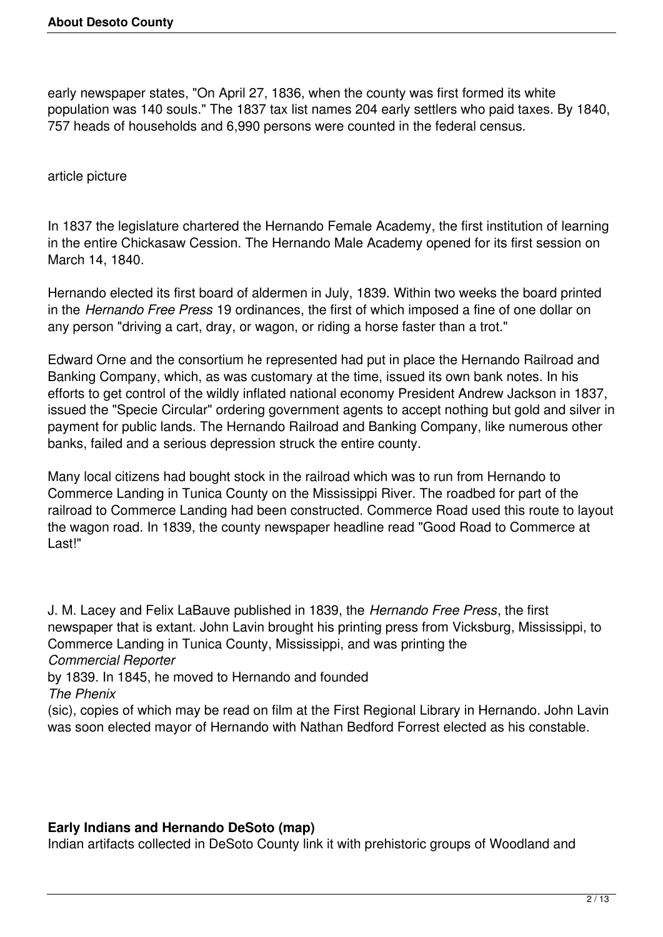early newspaper states, "On April 27, 1836, when the county was first formed its white population was 140 souls." The 1837 tax list names 204 early settlers who paid taxes. By 1840, 757 heads of households and 6,990 persons were counted in the federal census.

article picture

In 1837 the legislature chartered the Hernando Female Academy, the first institution of learning in the entire Chickasaw Cession. The Hernando Male Academy opened for its first session on March 14, 1840.

Hernando elected its first board of aldermen in July, 1839. Within two weeks the board printed in the *Hernando Free Press* 19 ordinances, the first of which imposed a fine of one dollar on any person "driving a cart, dray, or wagon, or riding a horse faster than a trot."

Edward Orne and the consortium he represented had put in place the Hernando Railroad and Banking Company, which, as was customary at the time, issued its own bank notes. In his efforts to get control of the wildly inflated national economy President Andrew Jackson in 1837, issued the "Specie Circular" ordering government agents to accept nothing but gold and silver in payment for public lands. The Hernando Railroad and Banking Company, like numerous other banks, failed and a serious depression struck the entire county.

Many local citizens had bought stock in the railroad which was to run from Hernando to Commerce Landing in Tunica County on the Mississippi River. The roadbed for part of the railroad to Commerce Landing had been constructed. Commerce Road used this route to layout the wagon road. In 1839, the county newspaper headline read "Good Road to Commerce at Last!"

J. M. Lacey and Felix LaBauve published in 1839, the *Hernando Free Press*, the first newspaper that is extant. John Lavin brought his printing press from Vicksburg, Mississippi, to Commerce Landing in Tunica County, Mississippi, and was printing the *Commercial Reporter* by 1839. In 1845, he moved to Hernando and founded

*The Phenix*

(sic), copies of which may be read on film at the First Regional Library in Hernando. John Lavin was soon elected mayor of Hernando with Nathan Bedford Forrest elected as his constable.

## **Early Indians and Hernando DeSoto (map)**

Indian artifacts collected in DeSoto County link it with prehistoric groups of Woodland and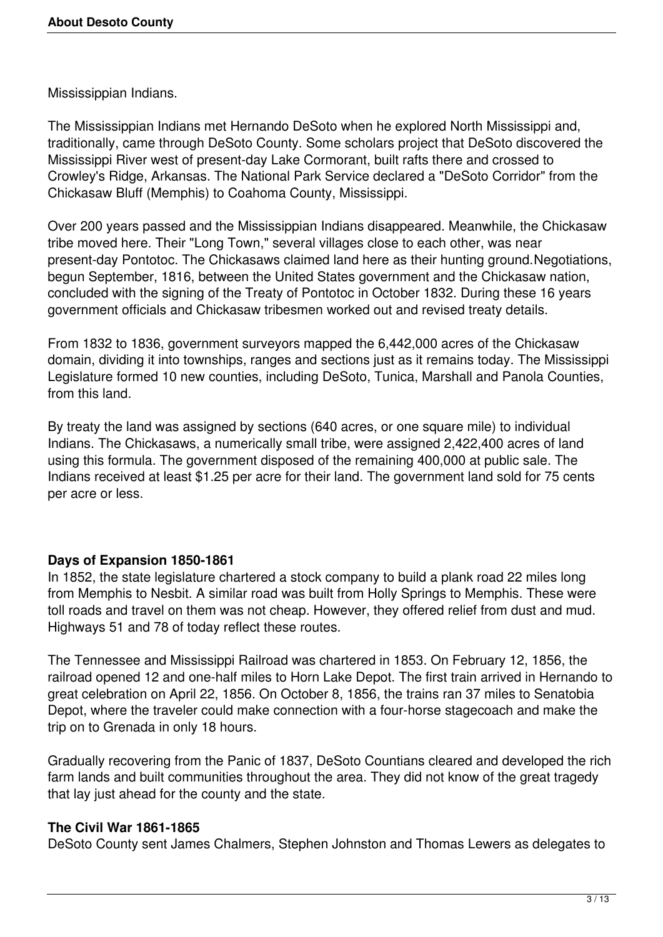Mississippian Indians.

The Mississippian Indians met Hernando DeSoto when he explored North Mississippi and, traditionally, came through DeSoto County. Some scholars project that DeSoto discovered the Mississippi River west of present-day Lake Cormorant, built rafts there and crossed to Crowley's Ridge, Arkansas. The National Park Service declared a "DeSoto Corridor" from the Chickasaw Bluff (Memphis) to Coahoma County, Mississippi.

Over 200 years passed and the Mississippian Indians disappeared. Meanwhile, the Chickasaw tribe moved here. Their "Long Town," several villages close to each other, was near present-day Pontotoc. The Chickasaws claimed land here as their hunting ground.Negotiations, begun September, 1816, between the United States government and the Chickasaw nation, concluded with the signing of the Treaty of Pontotoc in October 1832. During these 16 years government officials and Chickasaw tribesmen worked out and revised treaty details.

From 1832 to 1836, government surveyors mapped the 6,442,000 acres of the Chickasaw domain, dividing it into townships, ranges and sections just as it remains today. The Mississippi Legislature formed 10 new counties, including DeSoto, Tunica, Marshall and Panola Counties, from this land.

By treaty the land was assigned by sections (640 acres, or one square mile) to individual Indians. The Chickasaws, a numerically small tribe, were assigned 2,422,400 acres of land using this formula. The government disposed of the remaining 400,000 at public sale. The Indians received at least \$1.25 per acre for their land. The government land sold for 75 cents per acre or less.

## **Days of Expansion 1850-1861**

In 1852, the state legislature chartered a stock company to build a plank road 22 miles long from Memphis to Nesbit. A similar road was built from Holly Springs to Memphis. These were toll roads and travel on them was not cheap. However, they offered relief from dust and mud. Highways 51 and 78 of today reflect these routes.

The Tennessee and Mississippi Railroad was chartered in 1853. On February 12, 1856, the railroad opened 12 and one-half miles to Horn Lake Depot. The first train arrived in Hernando to great celebration on April 22, 1856. On October 8, 1856, the trains ran 37 miles to Senatobia Depot, where the traveler could make connection with a four-horse stagecoach and make the trip on to Grenada in only 18 hours.

Gradually recovering from the Panic of 1837, DeSoto Countians cleared and developed the rich farm lands and built communities throughout the area. They did not know of the great tragedy that lay just ahead for the county and the state.

## **The Civil War 1861-1865**

DeSoto County sent James Chalmers, Stephen Johnston and Thomas Lewers as delegates to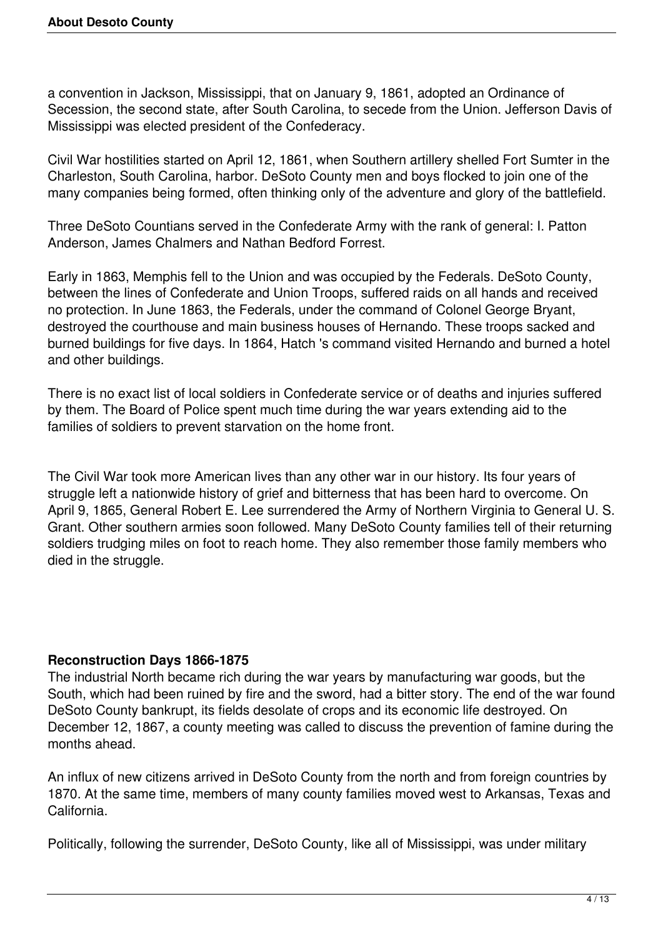a convention in Jackson, Mississippi, that on January 9, 1861, adopted an Ordinance of Secession, the second state, after South Carolina, to secede from the Union. Jefferson Davis of Mississippi was elected president of the Confederacy.

Civil War hostilities started on April 12, 1861, when Southern artillery shelled Fort Sumter in the Charleston, South Carolina, harbor. DeSoto County men and boys flocked to join one of the many companies being formed, often thinking only of the adventure and glory of the battlefield.

Three DeSoto Countians served in the Confederate Army with the rank of general: I. Patton Anderson, James Chalmers and Nathan Bedford Forrest.

Early in 1863, Memphis fell to the Union and was occupied by the Federals. DeSoto County, between the lines of Confederate and Union Troops, suffered raids on all hands and received no protection. In June 1863, the Federals, under the command of Colonel George Bryant, destroyed the courthouse and main business houses of Hernando. These troops sacked and burned buildings for five days. In 1864, Hatch 's command visited Hernando and burned a hotel and other buildings.

There is no exact list of local soldiers in Confederate service or of deaths and injuries suffered by them. The Board of Police spent much time during the war years extending aid to the families of soldiers to prevent starvation on the home front.

The Civil War took more American lives than any other war in our history. Its four years of struggle left a nationwide history of grief and bitterness that has been hard to overcome. On April 9, 1865, General Robert E. Lee surrendered the Army of Northern Virginia to General U. S. Grant. Other southern armies soon followed. Many DeSoto County families tell of their returning soldiers trudging miles on foot to reach home. They also remember those family members who died in the struggle.

## **Reconstruction Days 1866-1875**

The industrial North became rich during the war years by manufacturing war goods, but the South, which had been ruined by fire and the sword, had a bitter story. The end of the war found DeSoto County bankrupt, its fields desolate of crops and its economic life destroyed. On December 12, 1867, a county meeting was called to discuss the prevention of famine during the months ahead.

An influx of new citizens arrived in DeSoto County from the north and from foreign countries by 1870. At the same time, members of many county families moved west to Arkansas, Texas and California.

Politically, following the surrender, DeSoto County, like all of Mississippi, was under military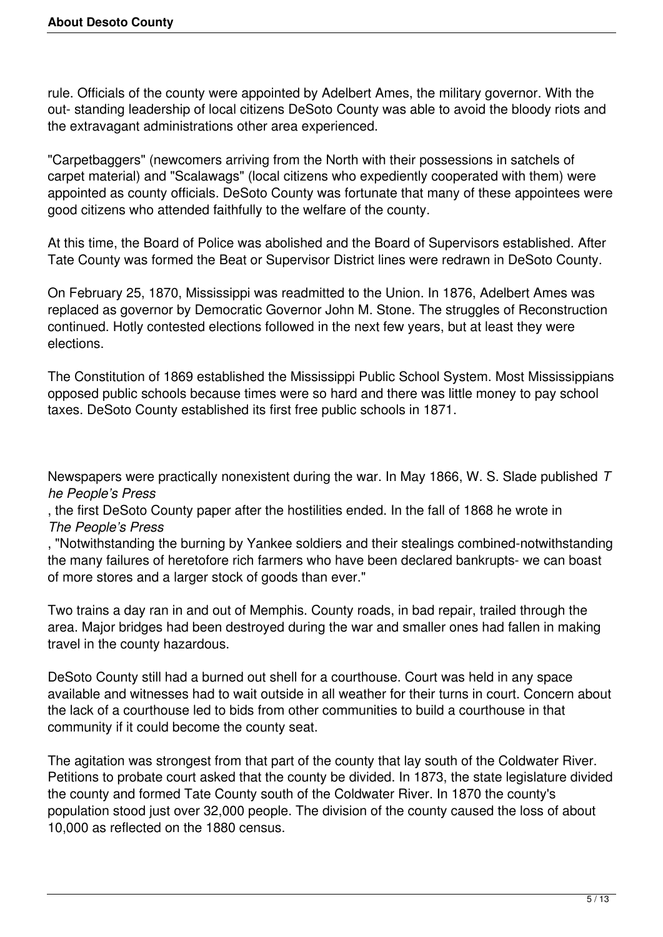rule. Officials of the county were appointed by Adelbert Ames, the military governor. With the out- standing leadership of local citizens DeSoto County was able to avoid the bloody riots and the extravagant administrations other area experienced.

"Carpetbaggers" (newcomers arriving from the North with their possessions in satchels of carpet material) and "Scalawags" (local citizens who expediently cooperated with them) were appointed as county officials. DeSoto County was fortunate that many of these appointees were good citizens who attended faithfully to the welfare of the county.

At this time, the Board of Police was abolished and the Board of Supervisors established. After Tate County was formed the Beat or Supervisor District lines were redrawn in DeSoto County.

On February 25, 1870, Mississippi was readmitted to the Union. In 1876, Adelbert Ames was replaced as governor by Democratic Governor John M. Stone. The struggles of Reconstruction continued. Hotly contested elections followed in the next few years, but at least they were elections.

The Constitution of 1869 established the Mississippi Public School System. Most Mississippians opposed public schools because times were so hard and there was little money to pay school taxes. DeSoto County established its first free public schools in 1871.

Newspapers were practically nonexistent during the war. In May 1866, W. S. Slade published *T he People's Press*

, the first DeSoto County paper after the hostilities ended. In the fall of 1868 he wrote in *The People's Press*

, "Notwithstanding the burning by Yankee soldiers and their stealings combined-notwithstanding the many failures of heretofore rich farmers who have been declared bankrupts- we can boast of more stores and a larger stock of goods than ever."

Two trains a day ran in and out of Memphis. County roads, in bad repair, trailed through the area. Major bridges had been destroyed during the war and smaller ones had fallen in making travel in the county hazardous.

DeSoto County still had a burned out shell for a courthouse. Court was held in any space available and witnesses had to wait outside in all weather for their turns in court. Concern about the lack of a courthouse led to bids from other communities to build a courthouse in that community if it could become the county seat.

The agitation was strongest from that part of the county that lay south of the Coldwater River. Petitions to probate court asked that the county be divided. In 1873, the state legislature divided the county and formed Tate County south of the Coldwater River. In 1870 the county's population stood just over 32,000 people. The division of the county caused the loss of about 10,000 as reflected on the 1880 census.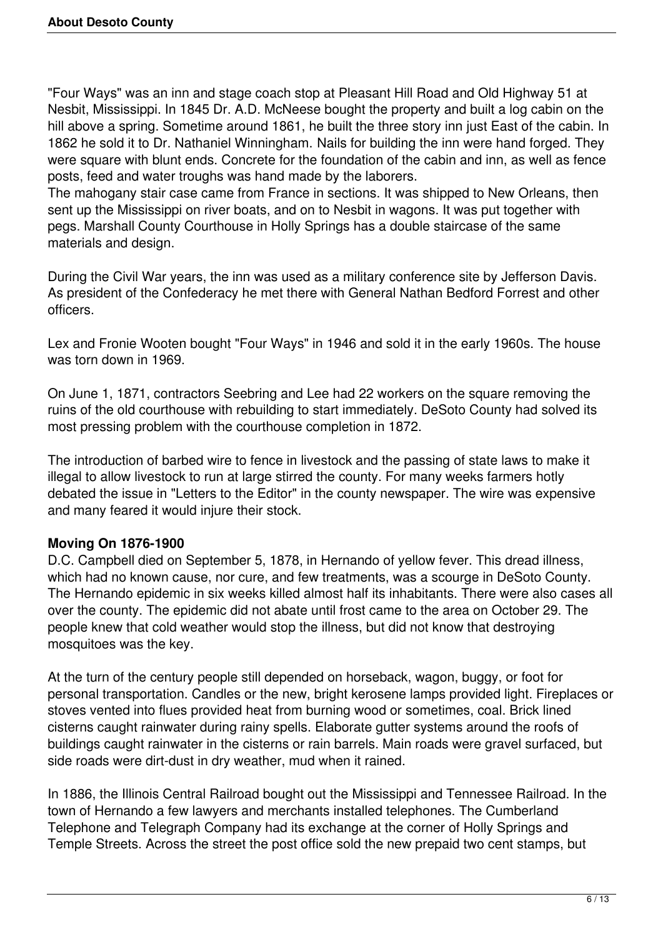"Four Ways" was an inn and stage coach stop at Pleasant Hill Road and Old Highway 51 at Nesbit, Mississippi. In 1845 Dr. A.D. McNeese bought the property and built a log cabin on the hill above a spring. Sometime around 1861, he built the three story inn just East of the cabin. In 1862 he sold it to Dr. Nathaniel Winningham. Nails for building the inn were hand forged. They were square with blunt ends. Concrete for the foundation of the cabin and inn, as well as fence posts, feed and water troughs was hand made by the laborers.

The mahogany stair case came from France in sections. It was shipped to New Orleans, then sent up the Mississippi on river boats, and on to Nesbit in wagons. It was put together with pegs. Marshall County Courthouse in Holly Springs has a double staircase of the same materials and design.

During the Civil War years, the inn was used as a military conference site by Jefferson Davis. As president of the Confederacy he met there with General Nathan Bedford Forrest and other officers.

Lex and Fronie Wooten bought "Four Ways" in 1946 and sold it in the early 1960s. The house was torn down in 1969.

On June 1, 1871, contractors Seebring and Lee had 22 workers on the square removing the ruins of the old courthouse with rebuilding to start immediately. DeSoto County had solved its most pressing problem with the courthouse completion in 1872.

The introduction of barbed wire to fence in livestock and the passing of state laws to make it illegal to allow livestock to run at large stirred the county. For many weeks farmers hotly debated the issue in "Letters to the Editor" in the county newspaper. The wire was expensive and many feared it would injure their stock.

## **Moving On 1876-1900**

D.C. Campbell died on September 5, 1878, in Hernando of yellow fever. This dread illness, which had no known cause, nor cure, and few treatments, was a scourge in DeSoto County. The Hernando epidemic in six weeks killed almost half its inhabitants. There were also cases all over the county. The epidemic did not abate until frost came to the area on October 29. The people knew that cold weather would stop the illness, but did not know that destroying mosquitoes was the key.

At the turn of the century people still depended on horseback, wagon, buggy, or foot for personal transportation. Candles or the new, bright kerosene lamps provided light. Fireplaces or stoves vented into flues provided heat from burning wood or sometimes, coal. Brick lined cisterns caught rainwater during rainy spells. Elaborate gutter systems around the roofs of buildings caught rainwater in the cisterns or rain barrels. Main roads were gravel surfaced, but side roads were dirt-dust in dry weather, mud when it rained.

In 1886, the Illinois Central Railroad bought out the Mississippi and Tennessee Railroad. In the town of Hernando a few lawyers and merchants installed telephones. The Cumberland Telephone and Telegraph Company had its exchange at the corner of Holly Springs and Temple Streets. Across the street the post office sold the new prepaid two cent stamps, but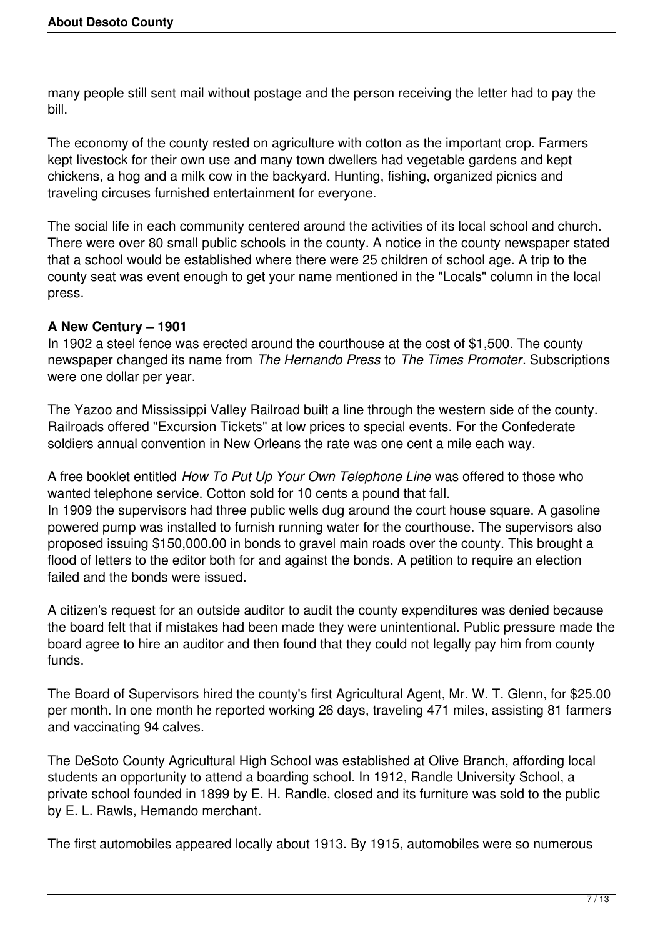many people still sent mail without postage and the person receiving the letter had to pay the bill.

The economy of the county rested on agriculture with cotton as the important crop. Farmers kept livestock for their own use and many town dwellers had vegetable gardens and kept chickens, a hog and a milk cow in the backyard. Hunting, fishing, organized picnics and traveling circuses furnished entertainment for everyone.

The social life in each community centered around the activities of its local school and church. There were over 80 small public schools in the county. A notice in the county newspaper stated that a school would be established where there were 25 children of school age. A trip to the county seat was event enough to get your name mentioned in the "Locals" column in the local press.

## **A New Century – 1901**

In 1902 a steel fence was erected around the courthouse at the cost of \$1,500. The county newspaper changed its name from *The Hernando Press* to *The Times Promoter*. Subscriptions were one dollar per year.

The Yazoo and Mississippi Valley Railroad built a line through the western side of the county. Railroads offered "Excursion Tickets" at low prices to special events. For the Confederate soldiers annual convention in New Orleans the rate was one cent a mile each way.

A free booklet entitled *How To Put Up Your Own Telephone Line* was offered to those who wanted telephone service. Cotton sold for 10 cents a pound that fall. In 1909 the supervisors had three public wells dug around the court house square. A gasoline powered pump was installed to furnish running water for the courthouse. The supervisors also proposed issuing \$150,000.00 in bonds to gravel main roads over the county. This brought a flood of letters to the editor both for and against the bonds. A petition to require an election failed and the bonds were issued.

A citizen's request for an outside auditor to audit the county expenditures was denied because the board felt that if mistakes had been made they were unintentional. Public pressure made the board agree to hire an auditor and then found that they could not legally pay him from county funds.

The Board of Supervisors hired the county's first Agricultural Agent, Mr. W. T. Glenn, for \$25.00 per month. In one month he reported working 26 days, traveling 471 miles, assisting 81 farmers and vaccinating 94 calves.

The DeSoto County Agricultural High School was established at Olive Branch, affording local students an opportunity to attend a boarding school. In 1912, Randle University School, a private school founded in 1899 by E. H. Randle, closed and its furniture was sold to the public by E. L. Rawls, Hemando merchant.

The first automobiles appeared locally about 1913. By 1915, automobiles were so numerous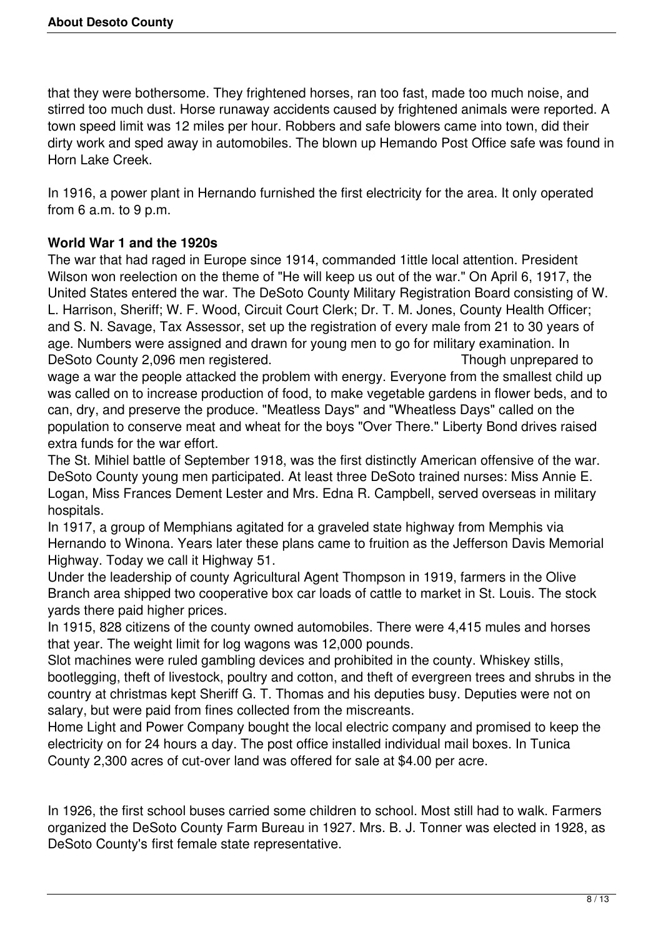that they were bothersome. They frightened horses, ran too fast, made too much noise, and stirred too much dust. Horse runaway accidents caused by frightened animals were reported. A town speed limit was 12 miles per hour. Robbers and safe blowers came into town, did their dirty work and sped away in automobiles. The blown up Hemando Post Office safe was found in Horn Lake Creek.

In 1916, a power plant in Hernando furnished the first electricity for the area. It only operated from 6 a.m. to 9 p.m.

# **World War 1 and the 1920s**

The war that had raged in Europe since 1914, commanded 1ittle local attention. President Wilson won reelection on the theme of "He will keep us out of the war." On April 6, 1917, the United States entered the war. The DeSoto County Military Registration Board consisting of W. L. Harrison, Sheriff; W. F. Wood, Circuit Court Clerk; Dr. T. M. Jones, County Health Officer; and S. N. Savage, Tax Assessor, set up the registration of every male from 21 to 30 years of age. Numbers were assigned and drawn for young men to go for military examination. In DeSoto County 2,096 men registered. Though unprepared to

wage a war the people attacked the problem with energy. Everyone from the smallest child up was called on to increase production of food, to make vegetable gardens in flower beds, and to can, dry, and preserve the produce. "Meatless Days" and "Wheatless Days" called on the population to conserve meat and wheat for the boys "Over There." Liberty Bond drives raised extra funds for the war effort.

The St. Mihiel battle of September 1918, was the first distinctly American offensive of the war. DeSoto County young men participated. At least three DeSoto trained nurses: Miss Annie E. Logan, Miss Frances Dement Lester and Mrs. Edna R. Campbell, served overseas in military hospitals.

In 1917, a group of Memphians agitated for a graveled state highway from Memphis via Hernando to Winona. Years later these plans came to fruition as the Jefferson Davis Memorial Highway. Today we call it Highway 51.

Under the leadership of county Agricultural Agent Thompson in 1919, farmers in the Olive Branch area shipped two cooperative box car loads of cattle to market in St. Louis. The stock yards there paid higher prices.

In 1915, 828 citizens of the county owned automobiles. There were 4,415 mules and horses that year. The weight limit for log wagons was 12,000 pounds.

Slot machines were ruled gambling devices and prohibited in the county. Whiskey stills, bootlegging, theft of livestock, poultry and cotton, and theft of evergreen trees and shrubs in the country at christmas kept Sheriff G. T. Thomas and his deputies busy. Deputies were not on salary, but were paid from fines collected from the miscreants.

Home Light and Power Company bought the local electric company and promised to keep the electricity on for 24 hours a day. The post office installed individual mail boxes. In Tunica County 2,300 acres of cut-over land was offered for sale at \$4.00 per acre.

In 1926, the first school buses carried some children to school. Most still had to walk. Farmers organized the DeSoto County Farm Bureau in 1927. Mrs. B. J. Tonner was elected in 1928, as DeSoto County's first female state representative.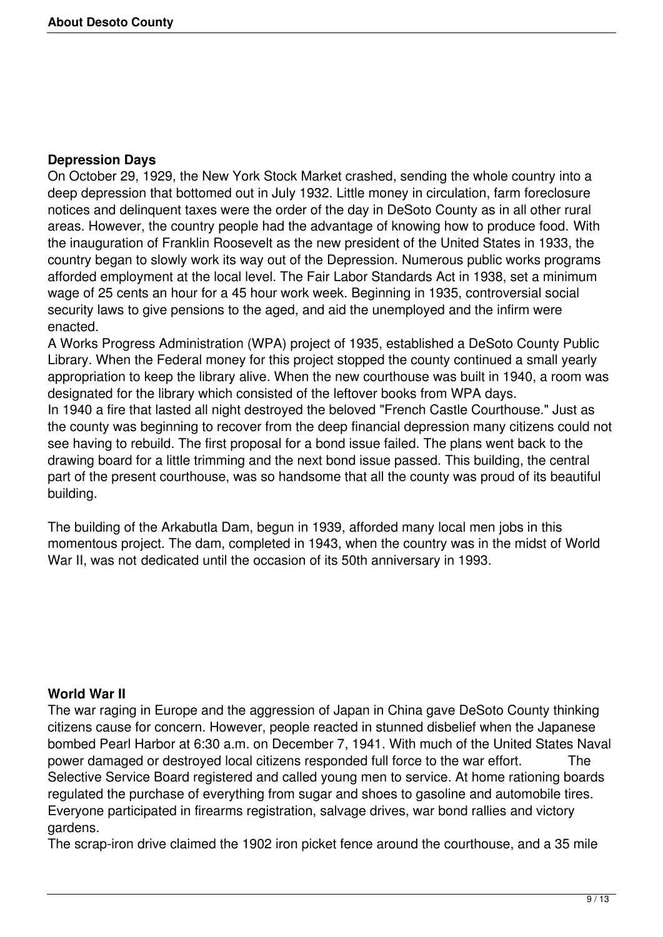#### **Depression Days**

On October 29, 1929, the New York Stock Market crashed, sending the whole country into a deep depression that bottomed out in July 1932. Little money in circulation, farm foreclosure notices and delinquent taxes were the order of the day in DeSoto County as in all other rural areas. However, the country people had the advantage of knowing how to produce food. With the inauguration of Franklin Roosevelt as the new president of the United States in 1933, the country began to slowly work its way out of the Depression. Numerous public works programs afforded employment at the local level. The Fair Labor Standards Act in 1938, set a minimum wage of 25 cents an hour for a 45 hour work week. Beginning in 1935, controversial social security laws to give pensions to the aged, and aid the unemployed and the infirm were enacted.

A Works Progress Administration (WPA) project of 1935, established a DeSoto County Public Library. When the Federal money for this project stopped the county continued a small yearly appropriation to keep the library alive. When the new courthouse was built in 1940, a room was designated for the library which consisted of the leftover books from WPA days.

In 1940 a fire that lasted all night destroyed the beloved "French Castle Courthouse." Just as the county was beginning to recover from the deep financial depression many citizens could not see having to rebuild. The first proposal for a bond issue failed. The plans went back to the drawing board for a little trimming and the next bond issue passed. This building, the central part of the present courthouse, was so handsome that all the county was proud of its beautiful building.

The building of the Arkabutla Dam, begun in 1939, afforded many local men jobs in this momentous project. The dam, completed in 1943, when the country was in the midst of World War II, was not dedicated until the occasion of its 50th anniversary in 1993.

## **World War II**

The war raging in Europe and the aggression of Japan in China gave DeSoto County thinking citizens cause for concern. However, people reacted in stunned disbelief when the Japanese bombed Pearl Harbor at 6:30 a.m. on December 7, 1941. With much of the United States Naval power damaged or destroyed local citizens responded full force to the war effort. The Selective Service Board registered and called young men to service. At home rationing boards regulated the purchase of everything from sugar and shoes to gasoline and automobile tires. Everyone participated in firearms registration, salvage drives, war bond rallies and victory gardens.

The scrap-iron drive claimed the 1902 iron picket fence around the courthouse, and a 35 mile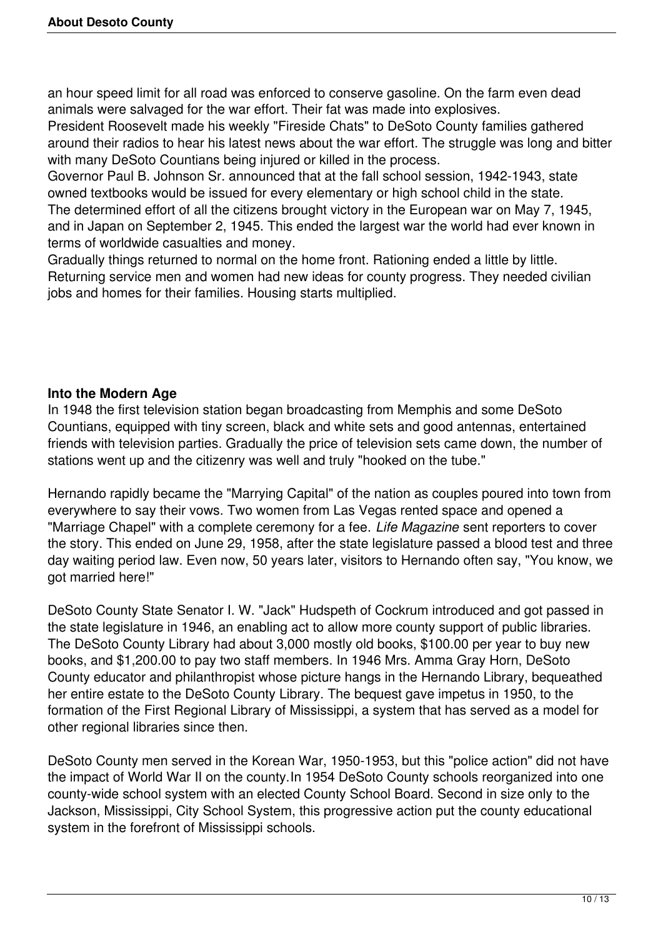an hour speed limit for all road was enforced to conserve gasoline. On the farm even dead animals were salvaged for the war effort. Their fat was made into explosives.

President Roosevelt made his weekly "Fireside Chats" to DeSoto County families gathered around their radios to hear his latest news about the war effort. The struggle was long and bitter with many DeSoto Countians being injured or killed in the process.

Governor Paul B. Johnson Sr. announced that at the fall school session, 1942-1943, state owned textbooks would be issued for every elementary or high school child in the state. The determined effort of all the citizens brought victory in the European war on May 7, 1945, and in Japan on September 2, 1945. This ended the largest war the world had ever known in terms of worldwide casualties and money.

Gradually things returned to normal on the home front. Rationing ended a little by little. Returning service men and women had new ideas for county progress. They needed civilian jobs and homes for their families. Housing starts multiplied.

## **Into the Modern Age**

In 1948 the first television station began broadcasting from Memphis and some DeSoto Countians, equipped with tiny screen, black and white sets and good antennas, entertained friends with television parties. Gradually the price of television sets came down, the number of stations went up and the citizenry was well and truly "hooked on the tube."

Hernando rapidly became the "Marrying Capital" of the nation as couples poured into town from everywhere to say their vows. Two women from Las Vegas rented space and opened a "Marriage Chapel" with a complete ceremony for a fee. *Life Magazine* sent reporters to cover the story. This ended on June 29, 1958, after the state legislature passed a blood test and three day waiting period law. Even now, 50 years later, visitors to Hernando often say, "You know, we got married here!"

DeSoto County State Senator I. W. "Jack" Hudspeth of Cockrum introduced and got passed in the state legislature in 1946, an enabling act to allow more county support of public libraries. The DeSoto County Library had about 3,000 mostly old books, \$100.00 per year to buy new books, and \$1,200.00 to pay two staff members. In 1946 Mrs. Amma Gray Horn, DeSoto County educator and philanthropist whose picture hangs in the Hernando Library, bequeathed her entire estate to the DeSoto County Library. The bequest gave impetus in 1950, to the formation of the First Regional Library of Mississippi, a system that has served as a model for other regional libraries since then.

DeSoto County men served in the Korean War, 1950-1953, but this "police action" did not have the impact of World War II on the county.In 1954 DeSoto County schools reorganized into one county-wide school system with an elected County School Board. Second in size only to the Jackson, Mississippi, City School System, this progressive action put the county educational system in the forefront of Mississippi schools.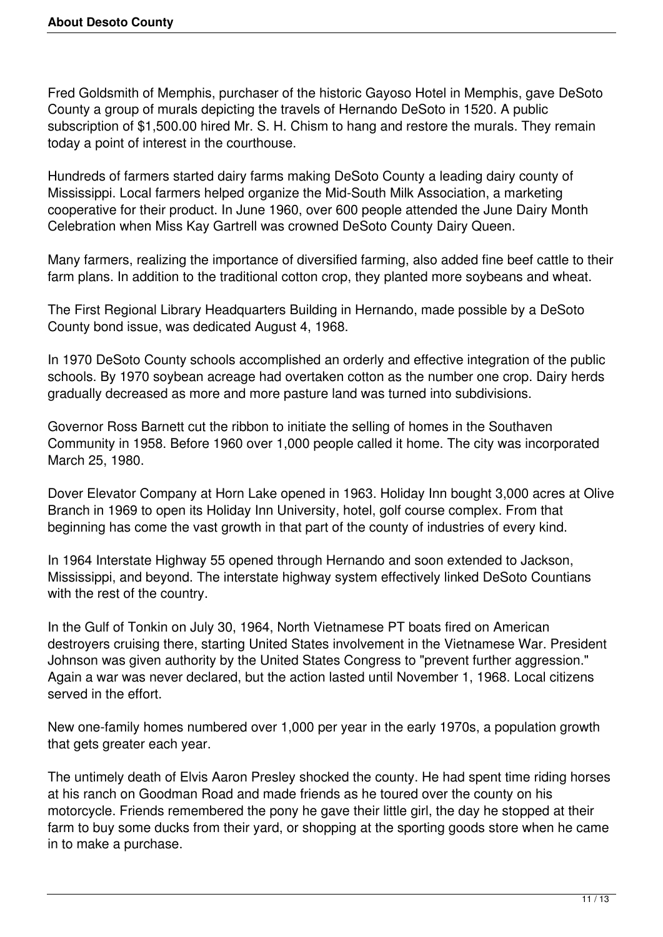Fred Goldsmith of Memphis, purchaser of the historic Gayoso Hotel in Memphis, gave DeSoto County a group of murals depicting the travels of Hernando DeSoto in 1520. A public subscription of \$1,500.00 hired Mr. S. H. Chism to hang and restore the murals. They remain today a point of interest in the courthouse.

Hundreds of farmers started dairy farms making DeSoto County a leading dairy county of Mississippi. Local farmers helped organize the Mid-South Milk Association, a marketing cooperative for their product. In June 1960, over 600 people attended the June Dairy Month Celebration when Miss Kay Gartrell was crowned DeSoto County Dairy Queen.

Many farmers, realizing the importance of diversified farming, also added fine beef cattle to their farm plans. In addition to the traditional cotton crop, they planted more soybeans and wheat.

The First Regional Library Headquarters Building in Hernando, made possible by a DeSoto County bond issue, was dedicated August 4, 1968.

In 1970 DeSoto County schools accomplished an orderly and effective integration of the public schools. By 1970 soybean acreage had overtaken cotton as the number one crop. Dairy herds gradually decreased as more and more pasture land was turned into subdivisions.

Governor Ross Barnett cut the ribbon to initiate the selling of homes in the Southaven Community in 1958. Before 1960 over 1,000 people called it home. The city was incorporated March 25, 1980.

Dover Elevator Company at Horn Lake opened in 1963. Holiday Inn bought 3,000 acres at Olive Branch in 1969 to open its Holiday Inn University, hotel, golf course complex. From that beginning has come the vast growth in that part of the county of industries of every kind.

In 1964 Interstate Highway 55 opened through Hernando and soon extended to Jackson, Mississippi, and beyond. The interstate highway system effectively linked DeSoto Countians with the rest of the country.

In the Gulf of Tonkin on July 30, 1964, North Vietnamese PT boats fired on American destroyers cruising there, starting United States involvement in the Vietnamese War. President Johnson was given authority by the United States Congress to "prevent further aggression." Again a war was never declared, but the action lasted until November 1, 1968. Local citizens served in the effort.

New one-family homes numbered over 1,000 per year in the early 1970s, a population growth that gets greater each year.

The untimely death of Elvis Aaron Presley shocked the county. He had spent time riding horses at his ranch on Goodman Road and made friends as he toured over the county on his motorcycle. Friends remembered the pony he gave their little girl, the day he stopped at their farm to buy some ducks from their yard, or shopping at the sporting goods store when he came in to make a purchase.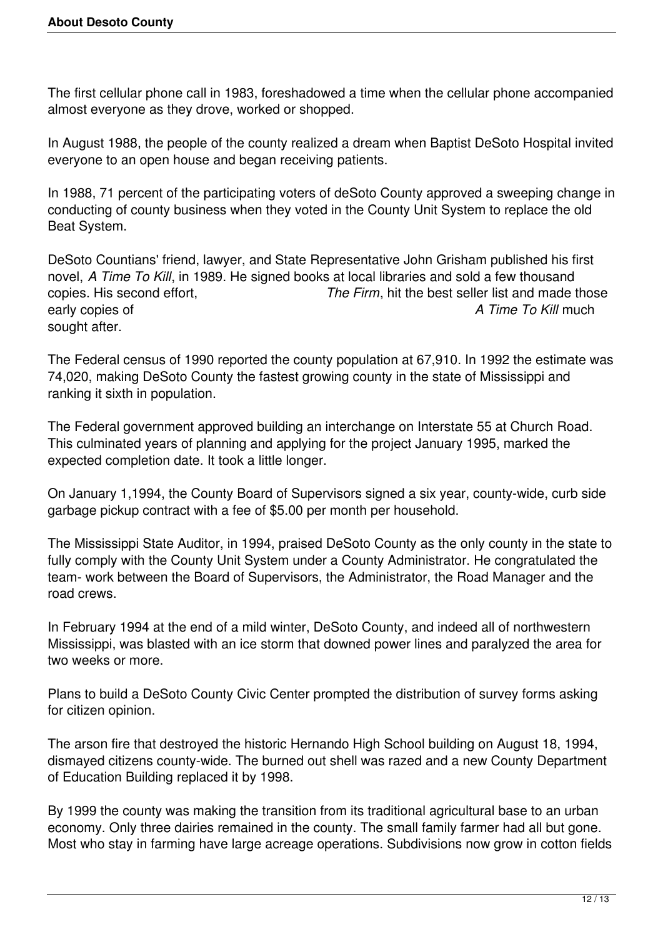The first cellular phone call in 1983, foreshadowed a time when the cellular phone accompanied almost everyone as they drove, worked or shopped.

In August 1988, the people of the county realized a dream when Baptist DeSoto Hospital invited everyone to an open house and began receiving patients.

In 1988, 71 percent of the participating voters of deSoto County approved a sweeping change in conducting of county business when they voted in the County Unit System to replace the old Beat System.

DeSoto Countians' friend, lawyer, and State Representative John Grisham published his first novel, *A Time To Kill*, in 1989. He signed books at local libraries and sold a few thousand copies. His second effort, *The Firm*, hit the best seller list and made those early copies of *A Time To Kill* much sought after.

The Federal census of 1990 reported the county population at 67,910. In 1992 the estimate was 74,020, making DeSoto County the fastest growing county in the state of Mississippi and ranking it sixth in population.

The Federal government approved building an interchange on Interstate 55 at Church Road. This culminated years of planning and applying for the project January 1995, marked the expected completion date. It took a little longer.

On January 1,1994, the County Board of Supervisors signed a six year, county-wide, curb side garbage pickup contract with a fee of \$5.00 per month per household.

The Mississippi State Auditor, in 1994, praised DeSoto County as the only county in the state to fully comply with the County Unit System under a County Administrator. He congratulated the team- work between the Board of Supervisors, the Administrator, the Road Manager and the road crews.

In February 1994 at the end of a mild winter, DeSoto County, and indeed all of northwestern Mississippi, was blasted with an ice storm that downed power lines and paralyzed the area for two weeks or more.

Plans to build a DeSoto County Civic Center prompted the distribution of survey forms asking for citizen opinion.

The arson fire that destroyed the historic Hernando High School building on August 18, 1994, dismayed citizens county-wide. The burned out shell was razed and a new County Department of Education Building replaced it by 1998.

By 1999 the county was making the transition from its traditional agricultural base to an urban economy. Only three dairies remained in the county. The small family farmer had all but gone. Most who stay in farming have large acreage operations. Subdivisions now grow in cotton fields